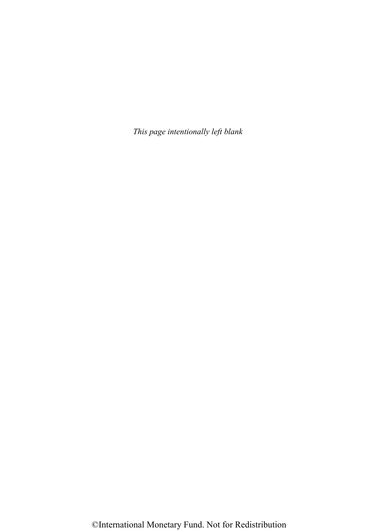*This page intentionally left blank*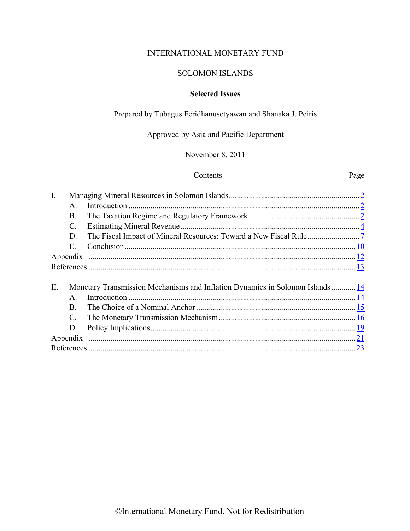## <span id="page-1-0"></span>INTERNATIONAL MONETARY FUND

## SOLOMON ISLANDS

#### **Selected Issues**

## Prepared by Tubagus Feridhanusetyawan and Shanaka J. Peiris

## Approved by Asia and Pacific Department

November 8, 2011

#### Contents Page

| $\mathbf{I}$ . |                 |                                                                               |  |  |  |
|----------------|-----------------|-------------------------------------------------------------------------------|--|--|--|
|                | $\mathsf{A}$ .  |                                                                               |  |  |  |
|                | Β.              |                                                                               |  |  |  |
|                | C.              |                                                                               |  |  |  |
|                | D.              |                                                                               |  |  |  |
|                | Ε.              |                                                                               |  |  |  |
|                |                 |                                                                               |  |  |  |
|                |                 |                                                                               |  |  |  |
|                |                 |                                                                               |  |  |  |
| II.            |                 | Monetary Transmission Mechanisms and Inflation Dynamics in Solomon Islands 14 |  |  |  |
|                | $\mathsf{A}$    |                                                                               |  |  |  |
|                | B.              |                                                                               |  |  |  |
|                | $\mathcal{C}$ . |                                                                               |  |  |  |
|                | D.              |                                                                               |  |  |  |
|                |                 |                                                                               |  |  |  |
|                |                 |                                                                               |  |  |  |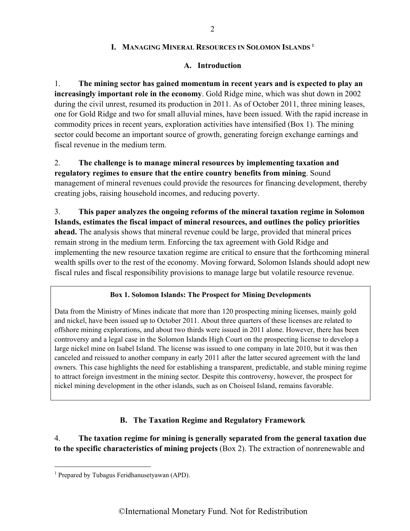## **[I. MANAGING MINERAL RESOURCES IN](#page-1-0) SOLOMON ISLANDS 1**

## **[A. Introduction](#page-1-0)**

<span id="page-2-1"></span><span id="page-2-0"></span>1. **The mining sector has gained momentum in recent years and is expected to play an increasingly important role in the economy**. Gold Ridge mine, which was shut down in 2002 during the civil unrest, resumed its production in 2011. As of October 2011, three mining leases, one for Gold Ridge and two for small alluvial mines, have been issued. With the rapid increase in commodity prices in recent years, exploration activities have intensified (Box 1). The mining sector could become an important source of growth, generating foreign exchange earnings and fiscal revenue in the medium term.

2. **The challenge is to manage mineral resources by implementing taxation and regulatory regimes to ensure that the entire country benefits from mining**. Sound management of mineral revenues could provide the resources for financing development, thereby creating jobs, raising household incomes, and reducing poverty.

<span id="page-2-2"></span>3. **This paper analyzes the ongoing reforms of the mineral taxation regime in Solomon Islands, estimates the fiscal impact of mineral resources, and outlines the policy priorities ahead.** The analysis shows that mineral revenue could be large, provided that mineral prices remain strong in the medium term. Enforcing the tax agreement with Gold Ridge and implementing the new resource taxation regime are critical to ensure that the forthcoming mineral wealth spills over to the rest of the economy. Moving forward, Solomon Islands should adopt new fiscal rules and fiscal responsibility provisions to manage large but volatile resource revenue.

#### **Box 1. Solomon Islands: The Prospect for Mining Developments**

Data from the Ministry of Mines indicate that more than 120 prospecting mining licenses, mainly gold and nickel, have been issued up to October 2011. About three quarters of these licenses are related to offshore mining explorations, and about two thirds were issued in 2011 alone. However, there has been controversy and a legal case in the Solomon Islands High Court on the prospecting license to develop a large nickel mine on Isabel Island. The license was issued to one company in late 2010, but it was then canceled and reissued to another company in early 2011 after the latter secured agreement with the land owners. This case highlights the need for establishing a transparent, predictable, and stable mining regime to attract foreign investment in the mining sector. Despite this controversy, however, the prospect for nickel mining development in the other islands, such as on Choiseul Island, remains favorable.

## **[B. The Taxation Regime and Regulatory Framework](#page-1-0)**

4. **The taxation regime for mining is generally separated from the general taxation due to the specific characteristics of mining projects** (Box 2). The extraction of nonrenewable and

 $\overline{a}$ 

<sup>&</sup>lt;sup>1</sup> Prepared by Tubagus Feridhanusetyawan (APD).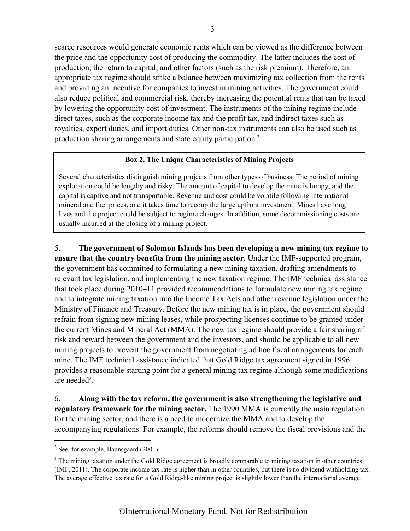scarce resources would generate economic rents which can be viewed as the difference between the price and the opportunity cost of producing the commodity. The latter includes the cost of production, the return to capital, and other factors (such as the risk premium). Therefore, an appropriate tax regime should strike a balance between maximizing tax collection from the rents and providing an incentive for companies to invest in mining activities. The government could also reduce political and commercial risk, thereby increasing the potential rents that can be taxed by lowering the opportunity cost of investment. The instruments of the mining regime include direct taxes, such as the corporate income tax and the profit tax, and indirect taxes such as royalties, export duties, and import duties. Other non-tax instruments can also be used such as production sharing arrangements and state equity participation.2

#### **Box 2. The Unique Characteristics of Mining Projects**

Several characteristics distinguish mining projects from other types of business. The period of mining exploration could be lengthy and risky. The amount of capital to develop the mine is lumpy, and the capital is captive and not transportable. Revenue and cost could be volatile following international mineral and fuel prices, and it takes time to recoup the large upfront investment. Mines have long lives and the project could be subject to regime changes. In addition, some decommissioning costs are usually incurred at the closing of a mining project.

5. **The government of Solomon Islands has been developing a new mining tax regime to ensure that the country benefits from the mining sector**. Under the IMF-supported program, the government has committed to formulating a new mining taxation, drafting amendments to relevant tax legislation, and implementing the new taxation regime. The IMF technical assistance that took place during 2010–11 provided recommendations to formulate new mining tax regime and to integrate mining taxation into the Income Tax Acts and other revenue legislation under the Ministry of Finance and Treasury. Before the new mining tax is in place, the government should refrain from signing new mining leases, while prospecting licenses continue to be granted under the current Mines and Mineral Act (MMA). The new tax regime should provide a fair sharing of risk and reward between the government and the investors, and should be applicable to all new mining projects to prevent the government from negotiating ad hoc fiscal arrangements for each mine. The IMF technical assistance indicated that Gold Ridge tax agreement signed in 1996 provides a reasonable starting point for a general mining tax regime although some modifications are needed<sup>3</sup>.

6. **Along with the tax reform, the government is also strengthening the legislative and regulatory framework for the mining sector.** The 1990 MMA is currently the main regulation for the mining sector, and there is a need to modernize the MMA and to develop the accompanying regulations. For example, the reforms should remove the fiscal provisions and the

 $\overline{a}$ 

<sup>&</sup>lt;sup>2</sup> See, for example, Baunsgaard (2001).

 $3$  The mining taxation under the Gold Ridge agreement is broadly comparable to mining taxation in other countries (IMF, 2011). The corporate income tax rate is higher than in other countries, but there is no dividend withholding tax. The average effective tax rate for a Gold Ridge-like mining project is slightly lower than the international average.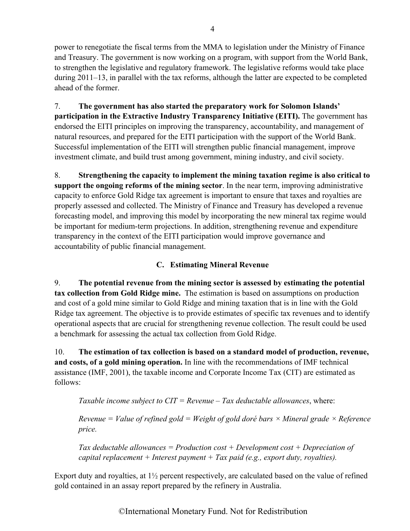power to renegotiate the fiscal terms from the MMA to legislation under the Ministry of Finance and Treasury. The government is now working on a program, with support from the World Bank, to strengthen the legislative and regulatory framework. The legislative reforms would take place during 2011–13, in parallel with the tax reforms, although the latter are expected to be completed ahead of the former.

7. **The government has also started the preparatory work for Solomon Islands' participation in the Extractive Industry Transparency Initiative (EITI).** The government has endorsed the EITI principles on improving the transparency, accountability, and management of natural resources, and prepared for the EITI participation with the support of the World Bank. Successful implementation of the EITI will strengthen public financial management, improve investment climate, and build trust among government, mining industry, and civil society.

<span id="page-4-0"></span>8. **Strengthening the capacity to implement the mining taxation regime is also critical to support the ongoing reforms of the mining sector**. In the near term, improving administrative capacity to enforce Gold Ridge tax agreement is important to ensure that taxes and royalties are properly assessed and collected. The Ministry of Finance and Treasury has developed a revenue forecasting model, and improving this model by incorporating the new mineral tax regime would be important for medium-term projections. In addition, strengthening revenue and expenditure transparency in the context of the EITI participation would improve governance and accountability of public financial management.

# **[C. Estimating Mineral Revenue](#page-1-0)**

9. **The potential revenue from the mining sector is assessed by estimating the potential tax collection from Gold Ridge mine.** The estimation is based on assumptions on production and cost of a gold mine similar to Gold Ridge and mining taxation that is in line with the Gold Ridge tax agreement. The objective is to provide estimates of specific tax revenues and to identify operational aspects that are crucial for strengthening revenue collection. The result could be used a benchmark for assessing the actual tax collection from Gold Ridge.

10. **The estimation of tax collection is based on a standard model of production, revenue, and costs, of a gold mining operation.** In line with the recommendations of IMF technical assistance (IMF, 2001), the taxable income and Corporate Income Tax (CIT) are estimated as follows:

*Taxable income subject to CIT = Revenue – Tax deductable allowances*, where:

*Revenue = Value of refined gold = Weight of gold doré bars × Mineral grade × Reference price.* 

*Tax deductable allowances = Production cost + Development cost + Depreciation of capital replacement + Interest payment + Tax paid (e.g., export duty, royalties).*

Export duty and royalties, at 1½ percent respectively, are calculated based on the value of refined gold contained in an assay report prepared by the refinery in Australia.

©International Monetary Fund. Not for Redistribution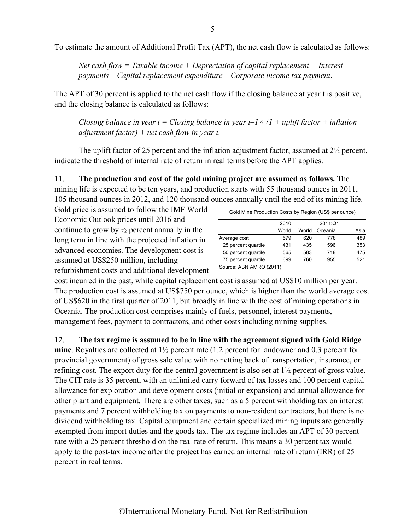5

To estimate the amount of Additional Profit Tax (APT), the net cash flow is calculated as follows:

*Net cash flow = Taxable income + Depreciation of capital replacement + Interest payments – Capital replacement expenditure – Corporate income tax payment*.

The APT of 30 percent is applied to the net cash flow if the closing balance at year t is positive, and the closing balance is calculated as follows:

*Closing balance in year t = Closing balance in year t–1*  $\times$  *(1 + uplift factor + inflation adjustment factor) + net cash flow in year t.* 

The uplift factor of 25 percent and the inflation adjustment factor, assumed at  $2\frac{1}{2}$  percent, indicate the threshold of internal rate of return in real terms before the APT applies.

11. **The production and cost of the gold mining project are assumed as follows.** The mining life is expected to be ten years, and production starts with 55 thousand ounces in 2011, 105 thousand ounces in 2012, and 120 thousand ounces annually until the end of its mining life.

Gold price is assumed to follow the IMF World Economic Outlook prices until 2016 and continue to grow by  $\frac{1}{2}$  percent annually in the long term in line with the projected inflation in advanced economies. The development cost is assumed at US\$250 million, including refurbishment costs and additional development

| Gold Mine Production Costs by Region (US\$ per ounce) |  |
|-------------------------------------------------------|--|
|-------------------------------------------------------|--|

|                                        | 2010  |       | 2011:Q1 |      |
|----------------------------------------|-------|-------|---------|------|
|                                        | World | World | Oceania | Asia |
| Average cost                           | 579   | 620   | 778     | 489  |
| 25 percent quartile                    | 431   | 435   | 596     | 353  |
| 50 percent quartile                    | 565   | 583   | 718     | 475  |
| 75 percent quartile                    | 699   | 760   | 955     | 521  |
| $C_{\text{outmax}}$ , ADNI AMDO (2011) |       |       |         |      |

Source: ABN AMRO (2011)

cost incurred in the past, while capital replacement cost is assumed at US\$10 million per year. The production cost is assumed at US\$750 per ounce, which is higher than the world average cost of US\$620 in the first quarter of 2011, but broadly in line with the cost of mining operations in Oceania. The production cost comprises mainly of fuels, personnel, interest payments, management fees, payment to contractors, and other costs including mining supplies.

12. **The tax regime is assumed to be in line with the agreement signed with Gold Ridge mine**. Royalties are collected at 1½ percent rate (1.2 percent for landowner and 0.3 percent for provincial government) of gross sale value with no netting back of transportation, insurance, or refining cost. The export duty for the central government is also set at 1½ percent of gross value. The CIT rate is 35 percent, with an unlimited carry forward of tax losses and 100 percent capital allowance for exploration and development costs (initial or expansion) and annual allowance for other plant and equipment. There are other taxes, such as a 5 percent withholding tax on interest payments and 7 percent withholding tax on payments to non-resident contractors, but there is no dividend withholding tax. Capital equipment and certain specialized mining inputs are generally exempted from import duties and the goods tax. The tax regime includes an APT of 30 percent rate with a 25 percent threshold on the real rate of return. This means a 30 percent tax would apply to the post-tax income after the project has earned an internal rate of return (IRR) of 25 percent in real terms.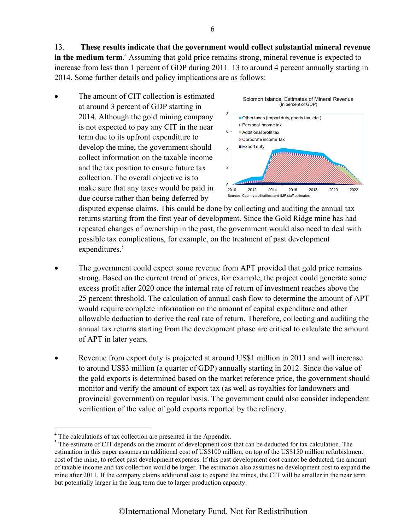13. **These results indicate that the government would collect substantial mineral revenue in the medium term.**<sup>4</sup> Assuming that gold price remains strong, mineral revenue is expected to increase from less than 1 percent of GDP during 2011–13 to around 4 percent annually starting in 2014. Some further details and policy implications are as follows:

 The amount of CIT collection is estimated at around 3 percent of GDP starting in 2014. Although the gold mining company is not expected to pay any CIT in the near term due to its upfront expenditure to develop the mine, the government should collect information on the taxable income and the tax position to ensure future tax collection. The overall objective is to make sure that any taxes would be paid in due course rather than being deferred by



disputed expense claims. This could be done by collecting and auditing the annual tax returns starting from the first year of development. Since the Gold Ridge mine has had repeated changes of ownership in the past, the government would also need to deal with possible tax complications, for example, on the treatment of past development expenditures.<sup>5</sup>

- The government could expect some revenue from APT provided that gold price remains strong. Based on the current trend of prices, for example, the project could generate some excess profit after 2020 once the internal rate of return of investment reaches above the 25 percent threshold. The calculation of annual cash flow to determine the amount of APT would require complete information on the amount of capital expenditure and other allowable deduction to derive the real rate of return. Therefore, collecting and auditing the annual tax returns starting from the development phase are critical to calculate the amount of APT in later years.
- Revenue from export duty is projected at around US\$1 million in 2011 and will increase to around US\$3 million (a quarter of GDP) annually starting in 2012. Since the value of the gold exports is determined based on the market reference price, the government should monitor and verify the amount of export tax (as well as royalties for landowners and provincial government) on regular basis. The government could also consider independent verification of the value of gold exports reported by the refinery.

 $\overline{a}$ 

<sup>&</sup>lt;sup>4</sup> The calculations of tax collection are presented in the Appendix.

<sup>&</sup>lt;sup>5</sup> The estimate of CIT depends on the amount of development cost that can be deducted for tax calculation. The estimation in this paper assumes an additional cost of US\$100 million, on top of the US\$150 million refurbishment cost of the mine, to reflect past development expenses. If this past development cost cannot be deducted, the amount of taxable income and tax collection would be larger. The estimation also assumes no development cost to expand the mine after 2011. If the company claims additional cost to expand the mines, the CIT will be smaller in the near term but potentially larger in the long term due to larger production capacity.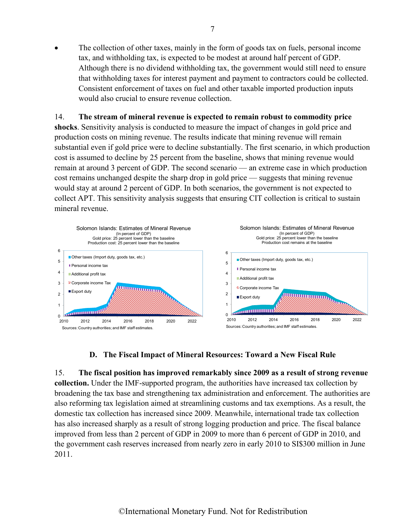The collection of other taxes, mainly in the form of goods tax on fuels, personal income tax, and withholding tax, is expected to be modest at around half percent of GDP. Although there is no dividend withholding tax, the government would still need to ensure that withholding taxes for interest payment and payment to contractors could be collected. Consistent enforcement of taxes on fuel and other taxable imported production inputs would also crucial to ensure revenue collection.

14. **The stream of mineral revenue is expected to remain robust to commodity price shocks**. Sensitivity analysis is conducted to measure the impact of changes in gold price and production costs on mining revenue. The results indicate that mining revenue will remain substantial even if gold price were to decline substantially. The first scenario, in which production cost is assumed to decline by 25 percent from the baseline, shows that mining revenue would remain at around 3 percent of GDP. The second scenario — an extreme case in which production cost remains unchanged despite the sharp drop in gold price — suggests that mining revenue would stay at around 2 percent of GDP. In both scenarios, the government is not expected to collect APT. This sensitivity analysis suggests that ensuring CIT collection is critical to sustain mineral revenue.

<span id="page-7-0"></span>

## **[D. The Fiscal Impact of Mineral Resources: Toward a New Fiscal Rule](#page-1-0)**

15. **The fiscal position has improved remarkably since 2009 as a result of strong revenue collection.** Under the IMF-supported program, the authorities have increased tax collection by broadening the tax base and strengthening tax administration and enforcement. The authorities are also reforming tax legislation aimed at streamlining customs and tax exemptions. As a result, the domestic tax collection has increased since 2009. Meanwhile, international trade tax collection has also increased sharply as a result of strong logging production and price. The fiscal balance improved from less than 2 percent of GDP in 2009 to more than 6 percent of GDP in 2010, and the government cash reserves increased from nearly zero in early 2010 to SI\$300 million in June 2011.

## ©International Monetary Fund. Not for Redistribution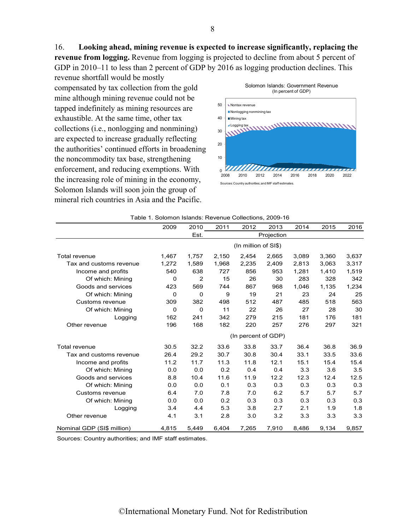16. **Looking ahead, mining revenue is expected to increase significantly, replacing the revenue from logging.** Revenue from logging is projected to decline from about 5 percent of GDP in 2010–11 to less than 2 percent of GDP by 2016 as logging production declines. This revenue shortfall would be mostly

compensated by tax collection from the gold mine although mining revenue could not be tapped indefinitely as mining resources are exhaustible. At the same time, other tax collections (i.e., nonlogging and nonmining) are expected to increase gradually reflecting the authorities' continued efforts in broadening the noncommodity tax base, strengthening enforcement, and reducing exemptions. With the increasing role of mining in the economy, Solomon Islands will soon join the group of mineral rich countries in Asia and the Pacific.



|  |  |  |  | Table 1. Solomon Islands: Revenue Collections, 2009-16 |  |
|--|--|--|--|--------------------------------------------------------|--|
|--|--|--|--|--------------------------------------------------------|--|

|                            | 2009     | 2010           | 2011       | 2012                 | 2013  | 2014  | 2015  | 2016  |
|----------------------------|----------|----------------|------------|----------------------|-------|-------|-------|-------|
|                            |          | Est.           | Projection |                      |       |       |       |       |
|                            |          |                |            | (In million of SI\$) |       |       |       |       |
| Total revenue              | 1,467    | 1,757          | 2,150      | 2,454                | 2,665 | 3,089 | 3,360 | 3,637 |
| Tax and customs revenue    | 1,272    | 1,589          | 1,968      | 2,235                | 2,409 | 2,813 | 3.063 | 3,317 |
| Income and profits         | 540      | 638            | 727        | 856                  | 953   | 1,281 | 1,410 | 1,519 |
| Of which: Mining           | 0        | $\overline{2}$ | 15         | 26                   | 30    | 283   | 328   | 342   |
| Goods and services         | 423      | 569            | 744        | 867                  | 968   | 1,046 | 1,135 | 1,234 |
| Of which: Mining           | $\Omega$ | $\Omega$       | 9          | 19                   | 21    | 23    | 24    | 25    |
| Customs revenue            | 309      | 382            | 498        | 512                  | 487   | 485   | 518   | 563   |
| Of which: Mining           | 0        | 0              | 11         | 22                   | 26    | 27    | 28    | 30    |
| Logging                    | 162      | 241            | 342        | 279                  | 215   | 181   | 176   | 181   |
| Other revenue              | 196      | 168            | 182        | 220                  | 257   | 276   | 297   | 321   |
|                            |          |                |            | (In percent of GDP)  |       |       |       |       |
| Total revenue              | 30.5     | 32.2           | 33.6       | 33.8                 | 33.7  | 36.4  | 36.8  | 36.9  |
| Tax and customs revenue    | 26.4     | 29.2           | 30.7       | 30.8                 | 30.4  | 33.1  | 33.5  | 33.6  |
| Income and profits         | 11.2     | 11.7           | 11.3       | 11.8                 | 12.1  | 15.1  | 15.4  | 15.4  |
| Of which: Mining           | 0.0      | 0.0            | 0.2        | 0.4                  | 0.4   | 3.3   | 3.6   | 3.5   |
| Goods and services         | 8.8      | 10.4           | 11.6       | 11.9                 | 12.2  | 12.3  | 12.4  | 12.5  |
| Of which: Mining           | 0.0      | 0.0            | 0.1        | 0.3                  | 0.3   | 0.3   | 0.3   | 0.3   |
| Customs revenue            | 6.4      | 7.0            | 7.8        | 7.0                  | 6.2   | 5.7   | 5.7   | 5.7   |
| Of which: Mining           | 0.0      | 0.0            | 0.2        | 0.3                  | 0.3   | 0.3   | 0.3   | 0.3   |
| Logging                    | 3.4      | 4.4            | 5.3        | 3.8                  | 2.7   | 2.1   | 1.9   | 1.8   |
| Other revenue              | 4.1      | 3.1            | 2.8        | 3.0                  | 3.2   | 3.3   | 3.3   | 3.3   |
| Nominal GDP (SI\$ million) | 4,815    | 5,449          | 6,404      | 7,265                | 7,910 | 8,486 | 9,134 | 9,857 |

Sources: Country authorities; and IMF staff estimates.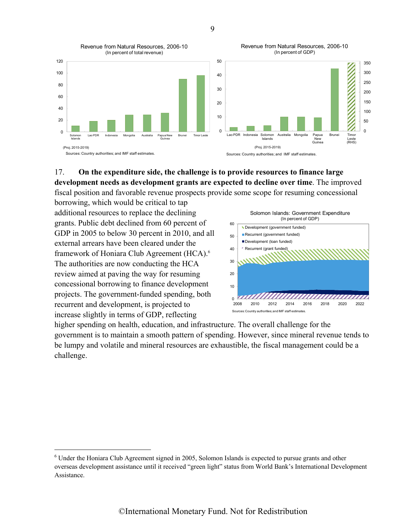

## 17. **On the expenditure side, the challenge is to provide resources to finance large development needs as development grants are expected to decline over time**. The improved fiscal position and favorable revenue prospects provide some scope for resuming concessional

borrowing, which would be critical to tap additional resources to replace the declining grants. Public debt declined from 60 percent of GDP in 2005 to below 30 percent in 2010, and all external arrears have been cleared under the framework of Honiara Club Agreement (HCA).6 The authorities are now conducting the HCA review aimed at paving the way for resuming concessional borrowing to finance development projects. The government-funded spending, both recurrent and development, is projected to increase slightly in terms of GDP, reflecting

 $\overline{a}$ 



higher spending on health, education, and infrastructure. The overall challenge for the government is to maintain a smooth pattern of spending. However, since mineral revenue tends to be lumpy and volatile and mineral resources are exhaustible, the fiscal management could be a challenge.

 $\overline{Q}$ 

<sup>&</sup>lt;sup>6</sup> Under the Honiara Club Agreement signed in 2005, Solomon Islands is expected to pursue grants and other overseas development assistance until it received "green light" status from World Bank's International Development Assistance.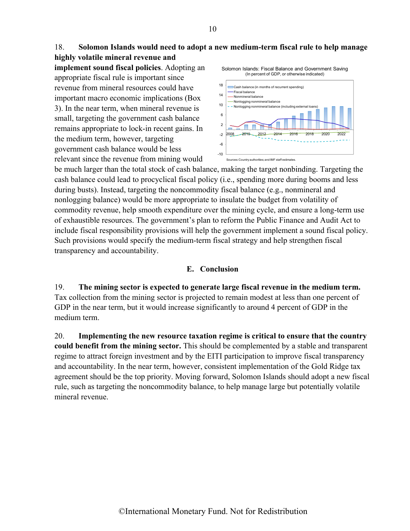18. **Solomon Islands would need to adopt a new medium-term fiscal rule to help manage highly volatile mineral revenue and** 

**implement sound fiscal policies**. Adopting an appropriate fiscal rule is important since revenue from mineral resources could have important macro economic implications (Box 3). In the near term, when mineral revenue is small, targeting the government cash balance remains appropriate to lock-in recent gains. In the medium term, however, targeting government cash balance would be less relevant since the revenue from mining would





<span id="page-10-0"></span>be much larger than the total stock of cash balance, making the target nonbinding. Targeting the cash balance could lead to procyclical fiscal policy (i.e., spending more during booms and less during busts). Instead, targeting the noncommodity fiscal balance (e.g., nonmineral and nonlogging balance) would be more appropriate to insulate the budget from volatility of commodity revenue, help smooth expenditure over the mining cycle, and ensure a long-term use of exhaustible resources. The government's plan to reform the Public Finance and Audit Act to include fiscal responsibility provisions will help the government implement a sound fiscal policy. Such provisions would specify the medium-term fiscal strategy and help strengthen fiscal transparency and accountability.

#### **[E. Conclusion](#page-1-0)**

19. **The mining sector is expected to generate large fiscal revenue in the medium term.** Tax collection from the mining sector is projected to remain modest at less than one percent of GDP in the near term, but it would increase significantly to around 4 percent of GDP in the medium term.

20. **Implementing the new resource taxation regime is critical to ensure that the country could benefit from the mining sector.** This should be complemented by a stable and transparent regime to attract foreign investment and by the EITI participation to improve fiscal transparency and accountability. In the near term, however, consistent implementation of the Gold Ridge tax agreement should be the top priority. Moving forward, Solomon Islands should adopt a new fiscal rule, such as targeting the noncommodity balance, to help manage large but potentially volatile mineral revenue.